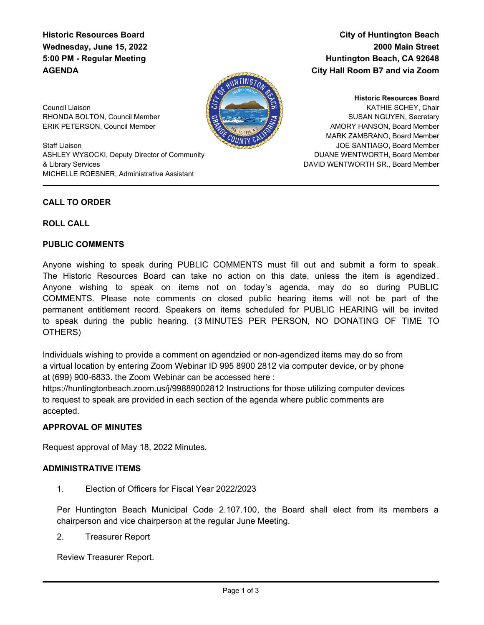# **Historic Resources Board Wednesday, June 15, 2022 5:00 PM - Regular Meeting AGENDA**

**City of Huntington Beach 2000 Main Street Huntington Beach, CA 92648 City Hall Room B7 and via Zoom**



Council Liaison RHONDA BOLTON, Council Member ERIK PETERSON, Council Member

Staff Liaison ASHLEY WYSOCKI, Deputy Director of Community & Library Services MICHELLE ROESNER, Administrative Assistant

KATHIE SCHEY, Chair SUSAN NGUYEN, Secretary AMORY HANSON, Board Member MARK ZAMBRANO, Board Member JOE SANTIAGO, Board Member DUANE WENTWORTH, Board Member DAVID WENTWORTH SR., Board Member **Historic Resources Board**

# **CALL TO ORDER**

#### **ROLL CALL**

#### **PUBLIC COMMENTS**

Anyone wishing to speak during PUBLIC COMMENTS must fill out and submit a form to speak. The Historic Resources Board can take no action on this date, unless the item is agendized . Anyone wishing to speak on items not on today's agenda, may do so during PUBLIC COMMENTS. Please note comments on closed public hearing items will not be part of the permanent entitlement record. Speakers on items scheduled for PUBLIC HEARING will be invited to speak during the public hearing. (3 MINUTES PER PERSON, NO DONATING OF TIME TO OTHERS)

Individuals wishing to provide a comment on agendzied or non-agendized items may do so from a virtual location by entering Zoom Webinar ID 995 8900 2812 via computer device, or by phone at (699) 900-6833. the Zoom Webinar can be accessed here :

https://huntingtonbeach.zoom.us/j/99889002812 Instructions for those utilizing computer devices to request to speak are provided in each section of the agenda where public comments are accepted.

# **APPROVAL OF MINUTES**

Request approval of May 18, 2022 Minutes.

# **ADMINISTRATIVE ITEMS**

1. Election of Officers for Fiscal Year 2022/2023

Per Huntington Beach Municipal Code 2.107.100, the Board shall elect from its members a chairperson and vice chairperson at the regular June Meeting.

2. Treasurer Report

Review Treasurer Report.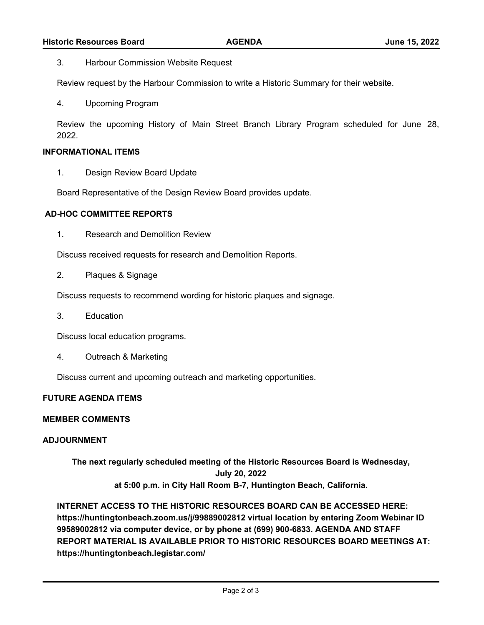3. Harbour Commission Website Request

Review request by the Harbour Commission to write a Historic Summary for their website.

4. Upcoming Program

Review the upcoming History of Main Street Branch Library Program scheduled for June 28, 2022.

### **INFORMATIONAL ITEMS**

1. Design Review Board Update

Board Representative of the Design Review Board provides update.

### **AD-HOC COMMITTEE REPORTS**

1. Research and Demolition Review

Discuss received requests for research and Demolition Reports.

2. Plaques & Signage

Discuss requests to recommend wording for historic plaques and signage.

3. Education

Discuss local education programs.

4. Outreach & Marketing

Discuss current and upcoming outreach and marketing opportunities.

#### **FUTURE AGENDA ITEMS**

#### **MEMBER COMMENTS**

### **ADJOURNMENT**

**The next regularly scheduled meeting of the Historic Resources Board is Wednesday, July 20, 2022 at 5:00 p.m. in City Hall Room B-7, Huntington Beach, California.**

**INTERNET ACCESS TO THE HISTORIC RESOURCES BOARD CAN BE ACCESSED HERE: https://huntingtonbeach.zoom.us/j/99889002812 virtual location by entering Zoom Webinar ID 99589002812 via computer device, or by phone at (699) 900-6833. AGENDA AND STAFF REPORT MATERIAL IS AVAILABLE PRIOR TO HISTORIC RESOURCES BOARD MEETINGS AT: https://huntingtonbeach.legistar.com/**